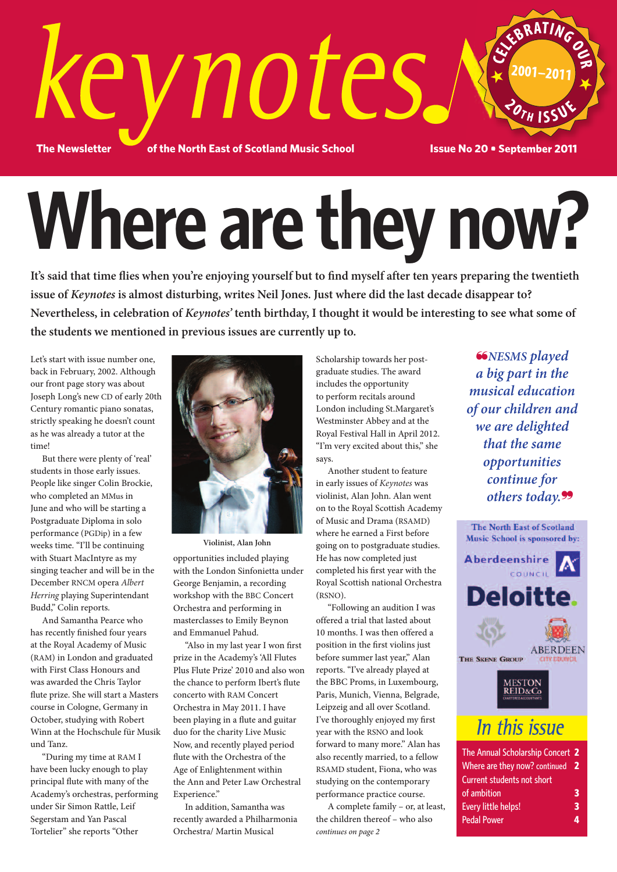

# **Where are they now?**

It's said that time flies when you're enjoying yourself but to find myself after ten years preparing the twentieth **issue of** *Keynotes* **is almost disturbing, writes Neil Jones. Just where did the last decade disappear to?** Nevertheless, in celebration of *Keynotes'* tenth birthday, I thought it would be interesting to see what some of **the students we mentioned in previous issues are currently up to.**

Let's start with issue number one, back in February, 2002. Although our front page story was about Joseph Long's new CD of early 20th Century romantic piano sonatas, strictly speaking he doesn't count as he was already a tutor at the time!

 But there were plenty of 'real' students in those early issues. People like singer Colin Brockie, who completed an MMus in June and who will be starting a Postgraduate Diploma in solo performance (PGDip) in a few weeks time. "I'll be continuing with Stuart MacIntyre as my singing teacher and will be in the December RNCM opera *Albert Herring* playing Superintendant Budd," Colin reports.

 And Samantha Pearce who has recently finished four years at the Royal Academy of Music (RAM) in London and graduated with First Class Honours and was awarded the Chris Taylor flute prize. She will start a Masters course in Cologne, Germany in October, studying with Robert Winn at the Hochschule für Musik und Tanz.

 "During my time at RAM I have been lucky enough to play principal flute with many of the Academy's orchestras, performing under Sir Simon Rattle, Leif Segerstam and Yan Pascal Tortelier" she reports "Other



**Violinist, Alan John**

opportunities included playing with the London Sinfonietta under George Benjamin, a recording workshop with the BBC Concert Orchestra and performing in masterclasses to Emily Beynon and Emmanuel Pahud.

 "Also in my last year I won first prize in the Academy's 'All Flutes Plus Flute Prize' 2010 and also won the chance to perform Ibert's flute concerto with RAM Concert Orchestra in May 2011. I have been playing in a flute and guitar duo for the charity Live Music Now, and recently played period flute with the Orchestra of the Age of Enlightenment within the Ann and Peter Law Orchestral Experience."

 In addition, Samantha was recently awarded a Philharmonia Orchestra/ Martin Musical

Scholarship towards her postgraduate studies. The award includes the opportunity to perform recitals around London including St.Margaret's Westminster Abbey and at the Royal Festival Hall in April 2012. "I'm very excited about this," she says.

 Another student to feature in early issues of *Keynotes* was violinist, Alan John. Alan went on to the Royal Scottish Academy of Music and Drama (RSAMD) where he earned a First before going on to postgraduate studies. He has now completed just completed his first year with the Royal Scottish national Orchestra (RSNO).

 "Following an audition I was offered a trial that lasted about 10 months. I was then offered a position in the first violins just before summer last year," Alan reports. "I've already played at the BBC Proms, in Luxembourg, Paris, Munich, Vienna, Belgrade, Leipzeig and all over Scotland. I've thoroughly enjoyed my first year with the RSNO and look forward to many more." Alan has also recently married, to a fellow RSAMD student, Fiona, who was studying on the contemporary performance practice course.

 A complete family – or, at least, the children thereof – who also *continues on page 2*

❝*NESMS played a big part in the musical education of our children and we are delighted that the same opportunities continue for others today.*❞



| The Annual Scholarship Concert 2 |     |
|----------------------------------|-----|
| Where are they now? continued    | - 2 |
| Current students not short       |     |
| of ambition                      | 3   |
| Every little helps!              | 3   |
| <b>Pedal Power</b>               |     |
|                                  |     |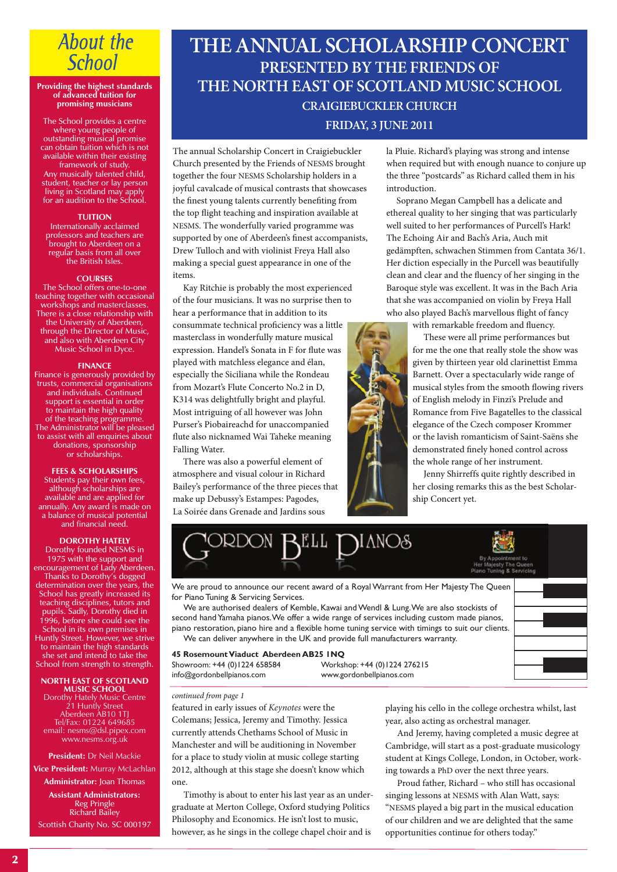## **About the School**

#### **Providing the highest standards of advanced tuition for promising musicians**

The School provides a centre where young people of outstanding musical promise can obtain tuition which is not available within their existing framework of study. Any musically talented child, student, teacher or lay person living in Scotland may apply for an audition to the School.

#### **TUITION**

Internationally acclaimed professors and teachers are brought to Aberdeen on a regular basis from all over the British Isles.

#### **COURSES**

The School offers one-to-one teaching together with occasional workshops and masterclasses. There is a close relationship with the University of Aberdeen, through the Director of Music, and also with Aberdeen City Music School in Dyce.

### **FINANCE**

Finance is generously provided by trusts, commercial organisations and individuals. Continued support is essential in order to maintain the high quality of the teaching programme. The Administrator will be pleased to assist with all enquiries about donations, sponsorship or scholarships.

**FEES & SCHOLARSHIPS** Students pay their own fees, although scholarships are available and are applied for annually. Any award is made on a balance of musical potential and financial need.

### **DOROTHY HATELY**

Dorothy founded NESMS in 1975 with the support and encouragement of Lady Aberdeen. Thanks to Dorothy's dogged determination over the years, the School has greatly increased its teaching disciplines, tutors and pupils. Sadly, Dorothy died in 1996, before she could see the School in its own premises in Huntly Street. However, we strive to maintain the high standards she set and intend to take the School from strength to strength.

**NORTH EAST OF SCOTLAND MUSIC SCHOOL** Dorothy Hately Music Centre 21 Huntly Street Aberdeen AB10 1TJ Tel/Fax: 01224 649685 email: nesms@dsl.pipex.com www.nesms.org.uk

### **President:** Dr Neil Mackie

**Vice President:** Murray McLachlan

**Administrator:** Joan Thomas **Assistant Administrators:** Reg Pringle

Richard Bailey Scottish Charity No. SC 000197

### **THE ANNUAL SCHOLARSHIP CONCERT PRESENTED BY THE FRIENDS OF THE NORTH EAST OF SCOTLAND MUSIC SCHOOL CRAIGIEBUCKLER CHURCH FRIDAY, 3 JUNE 2011**

The annual Scholarship Concert in Craigiebuckler Church presented by the Friends of NESMS brought together the four NESMS Scholarship holders in a joyful cavalcade of musical contrasts that showcases the finest young talents currently benefiting from the top flight teaching and inspiration available at NESMS. The wonderfully varied programme was supported by one of Aberdeen's finest accompanists, Drew Tulloch and with violinist Freya Hall also making a special guest appearance in one of the items.

 Kay Ritchie is probably the most experienced of the four musicians. It was no surprise then to hear a performance that in addition to its consummate technical proficiency was a little masterclass in wonderfully mature musical expression. Handel's Sonata in F for flute was played with matchless elegance and élan, especially the Siciliana while the Rondeau from Mozart's Flute Concerto No.2 in D, K314 was delightfully bright and playful. Most intriguing of all however was John Purser's Piobaireachd for unaccompanied flute also nicknamed Wai Taheke meaning Falling Water.

 There was also a powerful element of atmosphere and visual colour in Richard Bailey's performance of the three pieces that make up Debussy's Estampes: Pagodes, La Soirée dans Grenade and Jardins sous

la Pluie. Richard's playing was strong and intense when required but with enough nuance to conjure up the three "postcards" as Richard called them in his introduction.

 Soprano Megan Campbell has a delicate and ethereal quality to her singing that was particularly well suited to her performances of Purcell's Hark! The Echoing Air and Bach's Aria, Auch mit gedämpften, schwachen Stimmen from Cantata 36/1. Her diction especially in the Purcell was beautifully clean and clear and the fluency of her singing in the Baroque style was excellent. It was in the Bach Aria that she was accompanied on violin by Freya Hall who also played Bach's marvellous flight of fancy

with remarkable freedom and fluency.

These were all prime performances but for me the one that really stole the show was given by thirteen year old clarinettist Emma Barnett. Over a spectacularly wide range of musical styles from the smooth flowing rivers of English melody in Finzi's Prelude and Romance from Five Bagatelles to the classical elegance of the Czech composer Krommer or the lavish romanticism of Saint-Saëns she demonstrated finely honed control across the whole range of her instrument.

Jenny Shirreffs quite rightly described in her closing remarks this as the best Scholar-



We are proud to announce our recent award of a Royal Warrant from Her Majesty The Queen for Piano Tuning & Servicing Services.

We are authorised dealers of Kemble, Kawai and Wendl & Lung. We are also stockists of second hand Yamaha pianos. We offer a wide range of services including custom made pianos, piano restoration, piano hire and a flexible home tuning service with timings to suit our clients. We can deliver anywhere in the UK and provide full manufacturers warranty.



**45 RosemountViaduct Aberdeen AB25 1NQ** Showroom: +44 (0)1224 658584 Workshop: +44 (0)1224 276215 info@gordonbellpianos.com www.gordonbellpianos.com

### *continued from page 1*

featured in early issues of *Keynotes* were the Colemans; Jessica, Jeremy and Timothy. Jessica currently attends Chethams School of Music in Manchester and will be auditioning in November for a place to study violin at music college starting 2012, although at this stage she doesn't know which one.

 Timothy is about to enter his last year as an undergraduate at Merton College, Oxford studying Politics Philosophy and Economics. He isn't lost to music, however, as he sings in the college chapel choir and is

playing his cello in the college orchestra whilst, last year, also acting as orchestral manager.

 And Jeremy, having completed a music degree at Cambridge, will start as a post-graduate musicology student at Kings College, London, in October, working towards a PhD over the next three years.

 Proud father, Richard – who still has occasional singing lessons at NESMS with Alan Watt, says: "NESMS played a big part in the musical education of our children and we are delighted that the same opportunities continue for others today."

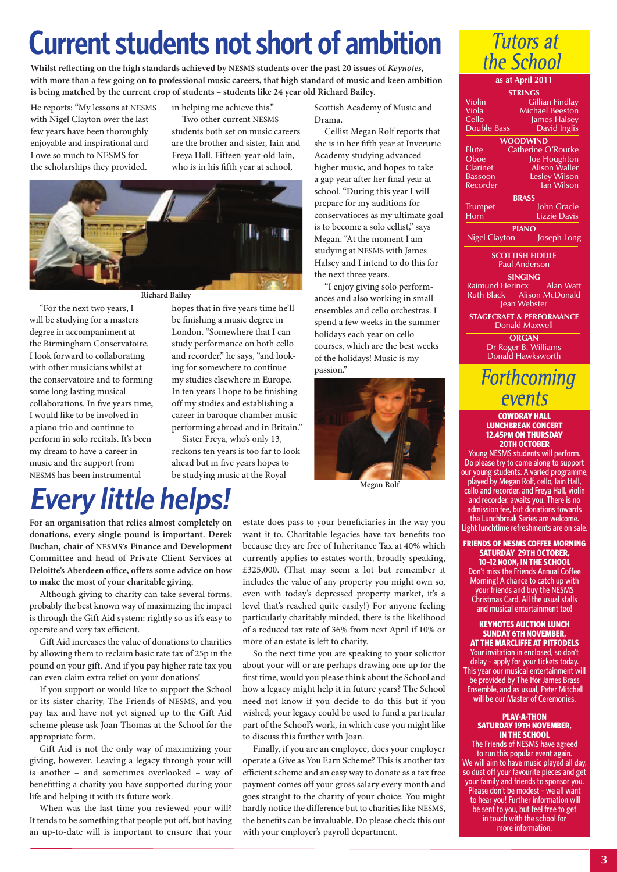# **Current students not short of ambition**

**Whilst reflecting on the high standards achieved by NESMS students over the past 20 issues of** *Keynotes,* with more than a few going on to professional music careers, that high standard of music and keen ambition **is being matched by the current crop of students – students like 24 year old Richard Bailey.**

He reports: "My lessons at NESMS with Nigel Clayton over the last few years have been thoroughly enjoyable and inspirational and I owe so much to NESMS for the scholarships they provided.

in helping me achieve this." Two other current NESMS

students both set on music careers are the brother and sister, Iain and Freya Hall. Fifteen-year-old Iain, who is in his fifth year at school,



### **Richard Bailey**

 "For the next two years, I will be studying for a masters degree in accompaniment at the Birmingham Conservatoire. I look forward to collaborating with other musicians whilst at the conservatoire and to forming some long lasting musical collaborations. In five years time, I would like to be involved in a piano trio and continue to perform in solo recitals. It's been my dream to have a career in music and the support from NESMS has been instrumental

hopes that in five years time he'll be finishing a music degree in London. "Somewhere that I can study performance on both cello and recorder," he says, "and looking for somewhere to continue my studies elsewhere in Europe. In ten years I hope to be finishing off my studies and establishing a career in baroque chamber music performing abroad and in Britain."

 Sister Freya, who's only 13, reckons ten years is too far to look ahead but in five years hopes to be studying music at the Royal

Scottish Academy of Music and Drama.

 Cellist Megan Rolf reports that she is in her fifth year at Inverurie Academy studying advanced higher music, and hopes to take a gap year after her final year at school. "During this year I will prepare for my auditions for conservatiores as my ultimate goal is to become a solo cellist," says Megan. "At the moment I am studying at NESMS with James Halsey and I intend to do this for the next three years.

 "I enjoy giving solo performances and also working in small ensembles and cello orchestras. I spend a few weeks in the summer holidays each year on cello courses, which are the best weeks of the holidays! Music is my passion."



**Megan Rolf**

# *Every little helps!*

**For an organisation that relies almost completely on donations, every single pound is important. Derek Buchan, chair of NESMS's Finance and Development Committee and head of Private Client Services at Deloitte's Aberdeen office, offers some advice on how to make the most of your charitable giving.**

 Although giving to charity can take several forms, probably the best known way of maximizing the impact is through the Gift Aid system: rightly so as it's easy to operate and very tax efficient.

 Gift Aid increases the value of donations to charities by allowing them to reclaim basic rate tax of 25p in the pound on your gift. And if you pay higher rate tax you can even claim extra relief on your donations!

 If you support or would like to support the School or its sister charity, The Friends of NESMS, and you pay tax and have not yet signed up to the Gift Aid scheme please ask Joan Thomas at the School for the appropriate form.

 Gift Aid is not the only way of maximizing your giving, however. Leaving a legacy through your will is another – and sometimes overlooked – way of benefitting a charity you have supported during your life and helping it with its future work.

 When was the last time you reviewed your will? It tends to be something that people put off, but having an up-to-date will is important to ensure that your estate does pass to your beneficiaries in the way you want it to. Charitable legacies have tax benefits too because they are free of Inheritance Tax at 40% which currently applies to estates worth, broadly speaking, £325,000. (That may seem a lot but remember it includes the value of any property you might own so, even with today's depressed property market, it's a level that's reached quite easily!) For anyone feeling particularly charitably minded, there is the likelihood of a reduced tax rate of 36% from next April if 10% or more of an estate is left to charity.

 So the next time you are speaking to your solicitor about your will or are perhaps drawing one up for the first time, would you please think about the School and how a legacy might help it in future years? The School need not know if you decide to do this but if you wished, your legacy could be used to fund a particular part of the School's work, in which case you might like to discuss this further with Joan.

 Finally, if you are an employee, does your employer operate a Give as You Earn Scheme? This is another tax efficient scheme and an easy way to donate as a tax free payment comes off your gross salary every month and goes straight to the charity of your choice. You might hardly notice the difference but to charities like NESMS, the benefits can be invaluable. Do please check this out with your employer's payroll department.



**as at April 2011**

| STRINGS                              |                        |  |
|--------------------------------------|------------------------|--|
| Violin                               | <b>Gillian Findlay</b> |  |
| Viola                                | <b>Michael Beeston</b> |  |
| Cello                                | James Halsey           |  |
| <b>Double Bass</b>                   | David Inglis           |  |
|                                      |                        |  |
| <b>WOODWIND</b>                      |                        |  |
| Flute                                | Catherine O'Rourke     |  |
| Oboe                                 | Joe Houghton           |  |
| Clarinet                             | <b>Alison Waller</b>   |  |
| <b>Bassoon</b>                       | Lesley Wilson          |  |
| Recorder                             | lan Wilson             |  |
| <b>BRASS</b>                         |                        |  |
| <b>Trumpet</b>                       | John Gracie            |  |
| Horn                                 | Lizzie Davis           |  |
| <b>PIANO</b>                         |                        |  |
| Nigel Clayton                        | Joseph Long            |  |
| <b>SCOTTISH FIDDLE</b>               |                        |  |
| <b>Paul Anderson</b>                 |                        |  |
| <b>SINGING</b>                       |                        |  |
| Raimund Herincx                      | Alan Watt              |  |
| Alison McDonald<br><b>Ruth Black</b> |                        |  |
| Jean Webster                         |                        |  |
| <b>STAGECRAFT &amp; PERFORMANCE</b>  |                        |  |
| <b>Donald Maxwell</b>                |                        |  |
| <b>ORGAN</b>                         |                        |  |
| Dr Roger B. Williams                 |                        |  |
| Donald Hawksworth                    |                        |  |
| $\mathbf{Enth}$ comin                |                        |  |
|                                      |                        |  |

### FOTUNCOMING events

### **COWDRAY HALL LUNCHBREAK CONCERT 12.45PM ON THURSDAY 20TH OCTOBER**

Young NESMS students will perform. Do please try to come along to support our young students. A varied programme, played by Megan Rolf, cello, Iain Hall, cello and recorder, and Freya Hall, violin and recorder, awaits you. There is no admission fee, but donations towards the Lunchbreak Series are welcome. Light lunchtime refreshments are on sale

**FRIENDS OF NESMS COFFEE MORNING SATURDAY 29TH OCTOBER, 10–12 NOON, IN THE SCHOOL**

Don't miss the Friends Annual Coffee Morning! A chance to catch up with your friends and buy the NESMS Christmas Card. All the usual stalls and musical entertainment too!

### **KEYNOTES AUCTION LUNCH SUNDAY 6TH NOVEMBER, AT THE MARCLIFFE AT PITFODELS**

Your invitation in enclosed, so don't delay – apply for your tickets today. This year our musical entertainment will be provided by The Ifor James Brass Ensemble, and as usual, Peter Mitchell will be our Master of Ceremonies.

### **PLAY-A-THON SATURDAY 19TH NOVEMBER, IN THE SCHOOL**

The Friends of NESMS have agreed to run this popular event again. We will aim to have music played all day, so dust off your favourite pieces and get your family and friends to sponsor you. Please don't be modest - we all want to hear you! Further information will be sent to you, but feel free to get in touch with the school for more information.